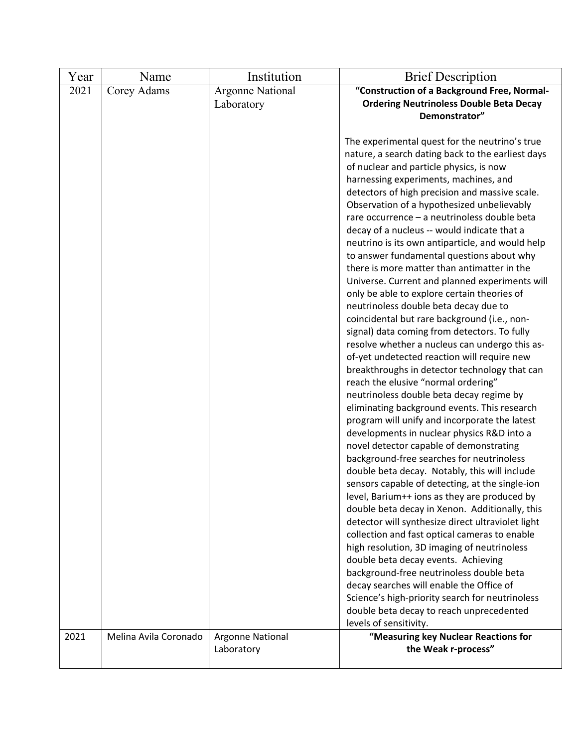| Year | Name                  | Institution                           | <b>Brief Description</b>                                                                                                                                                                                                                                                                                                                                                                                                                                                                                                                                                                                                                                                                                                                                                                                                                                                                                                                                                                                                                                                                                                                                                                                                                                                                                                                                                                                                                                                                                                                                                                                                                                                                                                                                                                                                                                                        |
|------|-----------------------|---------------------------------------|---------------------------------------------------------------------------------------------------------------------------------------------------------------------------------------------------------------------------------------------------------------------------------------------------------------------------------------------------------------------------------------------------------------------------------------------------------------------------------------------------------------------------------------------------------------------------------------------------------------------------------------------------------------------------------------------------------------------------------------------------------------------------------------------------------------------------------------------------------------------------------------------------------------------------------------------------------------------------------------------------------------------------------------------------------------------------------------------------------------------------------------------------------------------------------------------------------------------------------------------------------------------------------------------------------------------------------------------------------------------------------------------------------------------------------------------------------------------------------------------------------------------------------------------------------------------------------------------------------------------------------------------------------------------------------------------------------------------------------------------------------------------------------------------------------------------------------------------------------------------------------|
| 2021 | Corey Adams           | <b>Argonne National</b><br>Laboratory | "Construction of a Background Free, Normal-<br><b>Ordering Neutrinoless Double Beta Decay</b><br>Demonstrator"                                                                                                                                                                                                                                                                                                                                                                                                                                                                                                                                                                                                                                                                                                                                                                                                                                                                                                                                                                                                                                                                                                                                                                                                                                                                                                                                                                                                                                                                                                                                                                                                                                                                                                                                                                  |
|      |                       |                                       | The experimental quest for the neutrino's true<br>nature, a search dating back to the earliest days<br>of nuclear and particle physics, is now<br>harnessing experiments, machines, and<br>detectors of high precision and massive scale.<br>Observation of a hypothesized unbelievably<br>rare occurrence - a neutrinoless double beta<br>decay of a nucleus -- would indicate that a<br>neutrino is its own antiparticle, and would help<br>to answer fundamental questions about why<br>there is more matter than antimatter in the<br>Universe. Current and planned experiments will<br>only be able to explore certain theories of<br>neutrinoless double beta decay due to<br>coincidental but rare background (i.e., non-<br>signal) data coming from detectors. To fully<br>resolve whether a nucleus can undergo this as-<br>of-yet undetected reaction will require new<br>breakthroughs in detector technology that can<br>reach the elusive "normal ordering"<br>neutrinoless double beta decay regime by<br>eliminating background events. This research<br>program will unify and incorporate the latest<br>developments in nuclear physics R&D into a<br>novel detector capable of demonstrating<br>background-free searches for neutrinoless<br>double beta decay. Notably, this will include<br>sensors capable of detecting, at the single-ion<br>level, Barium++ ions as they are produced by<br>double beta decay in Xenon. Additionally, this<br>detector will synthesize direct ultraviolet light<br>collection and fast optical cameras to enable<br>high resolution, 3D imaging of neutrinoless<br>double beta decay events. Achieving<br>background-free neutrinoless double beta<br>decay searches will enable the Office of<br>Science's high-priority search for neutrinoless<br>double beta decay to reach unprecedented<br>levels of sensitivity. |
| 2021 | Melina Avila Coronado | Argonne National<br>Laboratory        | "Measuring key Nuclear Reactions for<br>the Weak r-process"                                                                                                                                                                                                                                                                                                                                                                                                                                                                                                                                                                                                                                                                                                                                                                                                                                                                                                                                                                                                                                                                                                                                                                                                                                                                                                                                                                                                                                                                                                                                                                                                                                                                                                                                                                                                                     |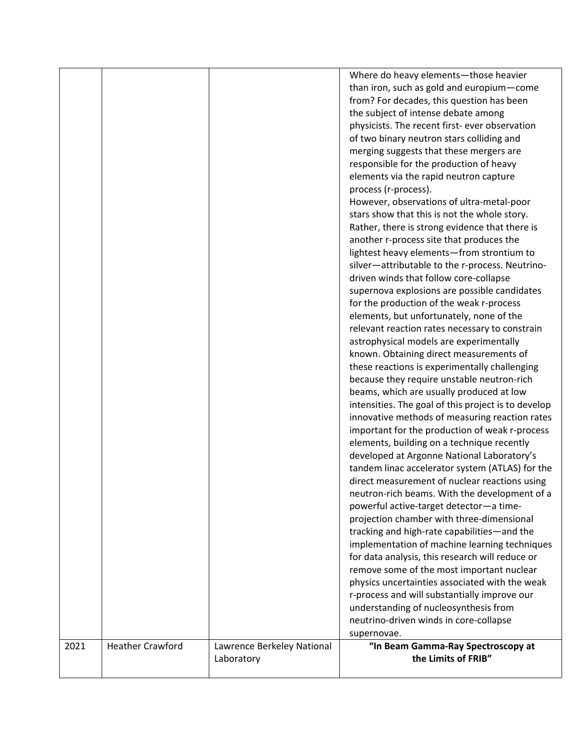|      |                         |                            | Where do heavy elements-those heavier                     |
|------|-------------------------|----------------------------|-----------------------------------------------------------|
|      |                         |                            | than iron, such as gold and europium-come                 |
|      |                         |                            | from? For decades, this question has been                 |
|      |                         |                            | the subject of intense debate among                       |
|      |                         |                            | physicists. The recent first- ever observation            |
|      |                         |                            | of two binary neutron stars colliding and                 |
|      |                         |                            | merging suggests that these mergers are                   |
|      |                         |                            | responsible for the production of heavy                   |
|      |                         |                            | elements via the rapid neutron capture                    |
|      |                         |                            | process (r-process).                                      |
|      |                         |                            | However, observations of ultra-metal-poor                 |
|      |                         |                            | stars show that this is not the whole story.              |
|      |                         |                            | Rather, there is strong evidence that there is            |
|      |                         |                            | another r-process site that produces the                  |
|      |                         |                            | lightest heavy elements-from strontium to                 |
|      |                         |                            | silver-attributable to the r-process. Neutrino-           |
|      |                         |                            | driven winds that follow core-collapse                    |
|      |                         |                            | supernova explosions are possible candidates              |
|      |                         |                            | for the production of the weak r-process                  |
|      |                         |                            | elements, but unfortunately, none of the                  |
|      |                         |                            | relevant reaction rates necessary to constrain            |
|      |                         |                            | astrophysical models are experimentally                   |
|      |                         |                            |                                                           |
|      |                         |                            | known. Obtaining direct measurements of                   |
|      |                         |                            | these reactions is experimentally challenging             |
|      |                         |                            | because they require unstable neutron-rich                |
|      |                         |                            | beams, which are usually produced at low                  |
|      |                         |                            | intensities. The goal of this project is to develop       |
|      |                         |                            | innovative methods of measuring reaction rates            |
|      |                         |                            | important for the production of weak r-process            |
|      |                         |                            | elements, building on a technique recently                |
|      |                         |                            | developed at Argonne National Laboratory's                |
|      |                         |                            | tandem linac accelerator system (ATLAS) for the           |
|      |                         |                            | direct measurement of nuclear reactions using             |
|      |                         |                            | neutron-rich beams. With the development of a             |
|      |                         |                            | powerful active-target detector-a time-                   |
|      |                         |                            | projection chamber with three-dimensional                 |
|      |                         |                            | tracking and high-rate capabilities-and the               |
|      |                         |                            | implementation of machine learning techniques             |
|      |                         |                            | for data analysis, this research will reduce or           |
|      |                         |                            | remove some of the most important nuclear                 |
|      |                         |                            | physics uncertainties associated with the weak            |
|      |                         |                            | r-process and will substantially improve our              |
|      |                         |                            | understanding of nucleosynthesis from                     |
|      |                         |                            | neutrino-driven winds in core-collapse                    |
|      |                         |                            |                                                           |
|      |                         |                            | supernovae.                                               |
| 2021 | <b>Heather Crawford</b> | Lawrence Berkeley National | "In Beam Gamma-Ray Spectroscopy at<br>the Limits of FRIB" |
|      |                         | Laboratory                 |                                                           |
|      |                         |                            |                                                           |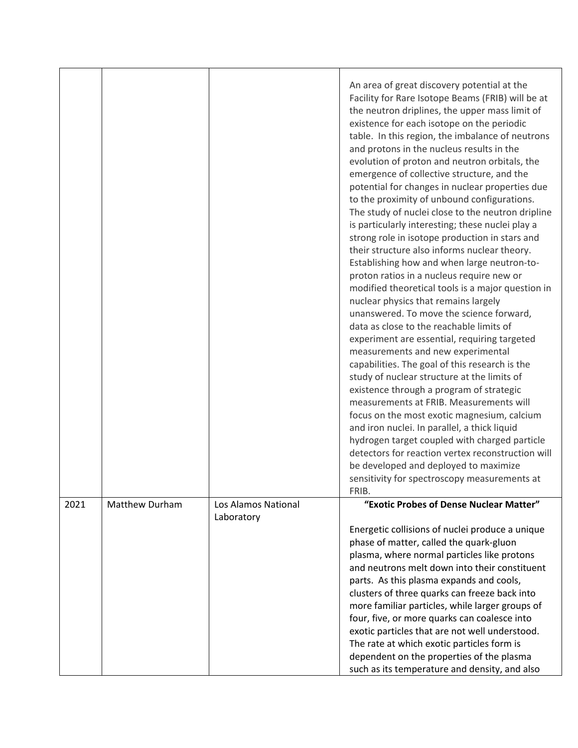|      |                       |                                   | An area of great discovery potential at the<br>Facility for Rare Isotope Beams (FRIB) will be at<br>the neutron driplines, the upper mass limit of<br>existence for each isotope on the periodic<br>table. In this region, the imbalance of neutrons<br>and protons in the nucleus results in the<br>evolution of proton and neutron orbitals, the<br>emergence of collective structure, and the<br>potential for changes in nuclear properties due<br>to the proximity of unbound configurations.<br>The study of nuclei close to the neutron dripline<br>is particularly interesting; these nuclei play a<br>strong role in isotope production in stars and<br>their structure also informs nuclear theory.<br>Establishing how and when large neutron-to-<br>proton ratios in a nucleus require new or<br>modified theoretical tools is a major question in<br>nuclear physics that remains largely<br>unanswered. To move the science forward,<br>data as close to the reachable limits of<br>experiment are essential, requiring targeted<br>measurements and new experimental<br>capabilities. The goal of this research is the<br>study of nuclear structure at the limits of<br>existence through a program of strategic<br>measurements at FRIB. Measurements will<br>focus on the most exotic magnesium, calcium<br>and iron nuclei. In parallel, a thick liquid<br>hydrogen target coupled with charged particle<br>detectors for reaction vertex reconstruction will<br>be developed and deployed to maximize<br>sensitivity for spectroscopy measurements at |
|------|-----------------------|-----------------------------------|---------------------------------------------------------------------------------------------------------------------------------------------------------------------------------------------------------------------------------------------------------------------------------------------------------------------------------------------------------------------------------------------------------------------------------------------------------------------------------------------------------------------------------------------------------------------------------------------------------------------------------------------------------------------------------------------------------------------------------------------------------------------------------------------------------------------------------------------------------------------------------------------------------------------------------------------------------------------------------------------------------------------------------------------------------------------------------------------------------------------------------------------------------------------------------------------------------------------------------------------------------------------------------------------------------------------------------------------------------------------------------------------------------------------------------------------------------------------------------------------------------------------------------------------------------------------------|
| 2021 | <b>Matthew Durham</b> | Los Alamos National<br>Laboratory | FRIB.<br>"Exotic Probes of Dense Nuclear Matter"<br>Energetic collisions of nuclei produce a unique<br>phase of matter, called the quark-gluon<br>plasma, where normal particles like protons<br>and neutrons melt down into their constituent<br>parts. As this plasma expands and cools,<br>clusters of three quarks can freeze back into<br>more familiar particles, while larger groups of<br>four, five, or more quarks can coalesce into<br>exotic particles that are not well understood.<br>The rate at which exotic particles form is<br>dependent on the properties of the plasma                                                                                                                                                                                                                                                                                                                                                                                                                                                                                                                                                                                                                                                                                                                                                                                                                                                                                                                                                                               |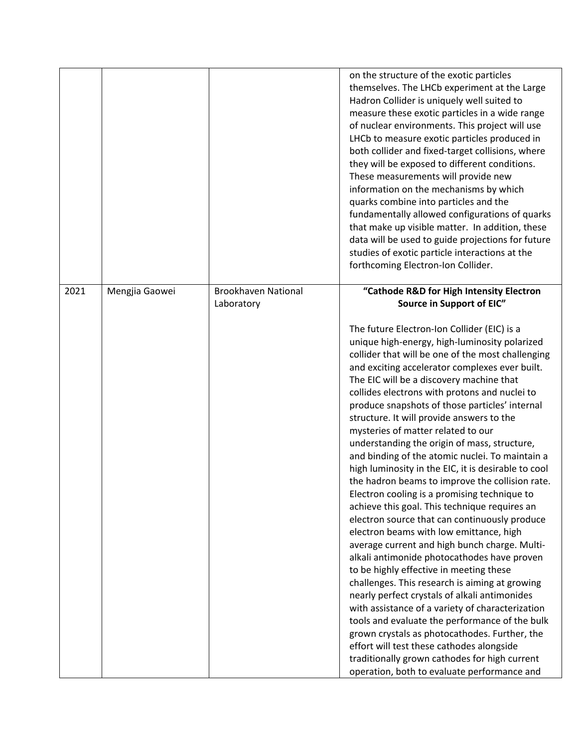|      |                |                                          | on the structure of the exotic particles<br>themselves. The LHCb experiment at the Large<br>Hadron Collider is uniquely well suited to<br>measure these exotic particles in a wide range<br>of nuclear environments. This project will use<br>LHCb to measure exotic particles produced in<br>both collider and fixed-target collisions, where<br>they will be exposed to different conditions.<br>These measurements will provide new<br>information on the mechanisms by which<br>quarks combine into particles and the<br>fundamentally allowed configurations of quarks<br>that make up visible matter. In addition, these<br>data will be used to guide projections for future<br>studies of exotic particle interactions at the<br>forthcoming Electron-Ion Collider.                                                                                                                                                                                                                                                                                                                                                                                                                                                                                                                                                                                                                       |
|------|----------------|------------------------------------------|---------------------------------------------------------------------------------------------------------------------------------------------------------------------------------------------------------------------------------------------------------------------------------------------------------------------------------------------------------------------------------------------------------------------------------------------------------------------------------------------------------------------------------------------------------------------------------------------------------------------------------------------------------------------------------------------------------------------------------------------------------------------------------------------------------------------------------------------------------------------------------------------------------------------------------------------------------------------------------------------------------------------------------------------------------------------------------------------------------------------------------------------------------------------------------------------------------------------------------------------------------------------------------------------------------------------------------------------------------------------------------------------------|
| 2021 | Mengjia Gaowei | <b>Brookhaven National</b><br>Laboratory | "Cathode R&D for High Intensity Electron<br>Source in Support of EIC"                                                                                                                                                                                                                                                                                                                                                                                                                                                                                                                                                                                                                                                                                                                                                                                                                                                                                                                                                                                                                                                                                                                                                                                                                                                                                                                             |
|      |                |                                          | The future Electron-Ion Collider (EIC) is a<br>unique high-energy, high-luminosity polarized<br>collider that will be one of the most challenging<br>and exciting accelerator complexes ever built.<br>The EIC will be a discovery machine that<br>collides electrons with protons and nuclei to<br>produce snapshots of those particles' internal<br>structure. It will provide answers to the<br>mysteries of matter related to our<br>understanding the origin of mass, structure,<br>and binding of the atomic nuclei. To maintain a<br>high luminosity in the EIC, it is desirable to cool<br>the hadron beams to improve the collision rate.<br>Electron cooling is a promising technique to<br>achieve this goal. This technique requires an<br>electron source that can continuously produce<br>electron beams with low emittance, high<br>average current and high bunch charge. Multi-<br>alkali antimonide photocathodes have proven<br>to be highly effective in meeting these<br>challenges. This research is aiming at growing<br>nearly perfect crystals of alkali antimonides<br>with assistance of a variety of characterization<br>tools and evaluate the performance of the bulk<br>grown crystals as photocathodes. Further, the<br>effort will test these cathodes alongside<br>traditionally grown cathodes for high current<br>operation, both to evaluate performance and |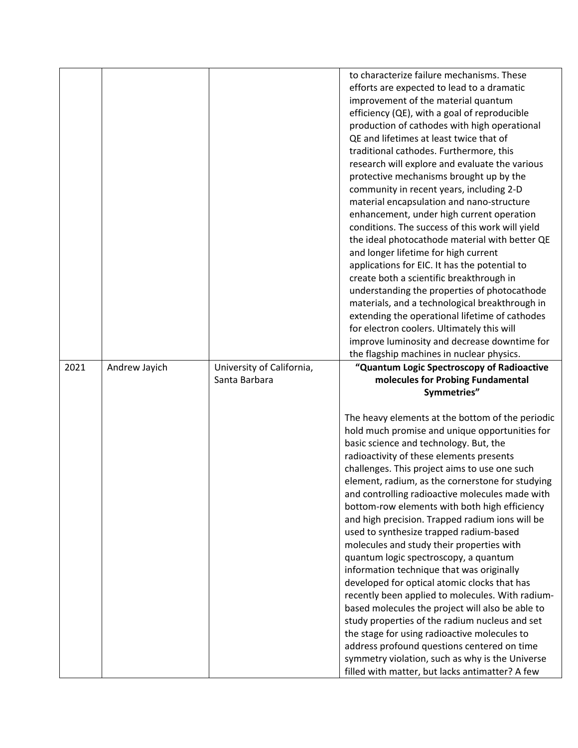|      |               |                           | to characterize failure mechanisms. These                                                          |
|------|---------------|---------------------------|----------------------------------------------------------------------------------------------------|
|      |               |                           |                                                                                                    |
|      |               |                           | efforts are expected to lead to a dramatic                                                         |
|      |               |                           | improvement of the material quantum                                                                |
|      |               |                           | efficiency (QE), with a goal of reproducible                                                       |
|      |               |                           | production of cathodes with high operational                                                       |
|      |               |                           | QE and lifetimes at least twice that of                                                            |
|      |               |                           | traditional cathodes. Furthermore, this                                                            |
|      |               |                           | research will explore and evaluate the various                                                     |
|      |               |                           | protective mechanisms brought up by the                                                            |
|      |               |                           | community in recent years, including 2-D                                                           |
|      |               |                           | material encapsulation and nano-structure                                                          |
|      |               |                           | enhancement, under high current operation                                                          |
|      |               |                           | conditions. The success of this work will yield                                                    |
|      |               |                           | the ideal photocathode material with better QE                                                     |
|      |               |                           | and longer lifetime for high current                                                               |
|      |               |                           | applications for EIC. It has the potential to                                                      |
|      |               |                           | create both a scientific breakthrough in                                                           |
|      |               |                           | understanding the properties of photocathode                                                       |
|      |               |                           |                                                                                                    |
|      |               |                           | materials, and a technological breakthrough in                                                     |
|      |               |                           | extending the operational lifetime of cathodes                                                     |
|      |               |                           | for electron coolers. Ultimately this will                                                         |
|      |               |                           | improve luminosity and decrease downtime for                                                       |
|      |               |                           | the flagship machines in nuclear physics.                                                          |
| 2021 | Andrew Jayich | University of California, |                                                                                                    |
|      |               |                           | "Quantum Logic Spectroscopy of Radioactive                                                         |
|      |               | Santa Barbara             | molecules for Probing Fundamental                                                                  |
|      |               |                           | Symmetries"                                                                                        |
|      |               |                           |                                                                                                    |
|      |               |                           | The heavy elements at the bottom of the periodic                                                   |
|      |               |                           | hold much promise and unique opportunities for                                                     |
|      |               |                           | basic science and technology. But, the                                                             |
|      |               |                           | radioactivity of these elements presents                                                           |
|      |               |                           | challenges. This project aims to use one such                                                      |
|      |               |                           | element, radium, as the cornerstone for studying                                                   |
|      |               |                           | and controlling radioactive molecules made with                                                    |
|      |               |                           | bottom-row elements with both high efficiency                                                      |
|      |               |                           | and high precision. Trapped radium ions will be                                                    |
|      |               |                           | used to synthesize trapped radium-based                                                            |
|      |               |                           | molecules and study their properties with                                                          |
|      |               |                           |                                                                                                    |
|      |               |                           | quantum logic spectroscopy, a quantum                                                              |
|      |               |                           | information technique that was originally                                                          |
|      |               |                           | developed for optical atomic clocks that has                                                       |
|      |               |                           | recently been applied to molecules. With radium-                                                   |
|      |               |                           | based molecules the project will also be able to                                                   |
|      |               |                           | study properties of the radium nucleus and set                                                     |
|      |               |                           | the stage for using radioactive molecules to                                                       |
|      |               |                           | address profound questions centered on time                                                        |
|      |               |                           | symmetry violation, such as why is the Universe<br>filled with matter, but lacks antimatter? A few |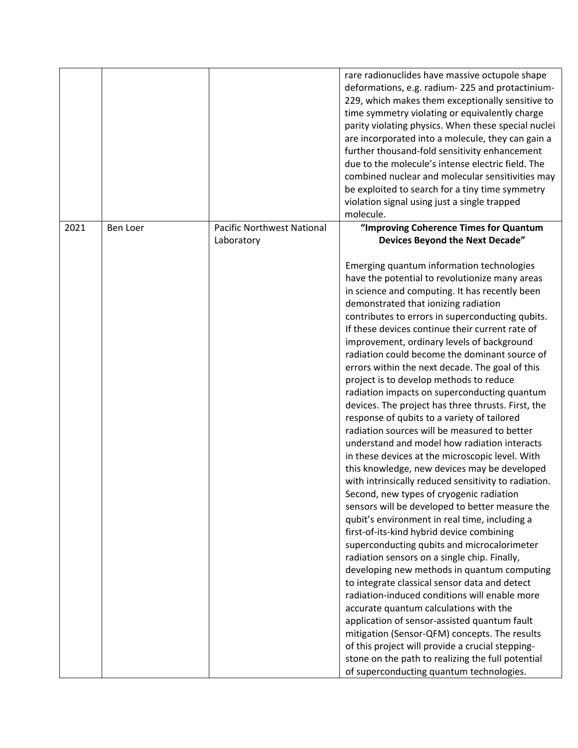|      |          |                                   | rare radionuclides have massive octupole shape<br>deformations, e.g. radium-225 and protactinium-<br>229, which makes them exceptionally sensitive to<br>time symmetry violating or equivalently charge<br>parity violating physics. When these special nuclei<br>are incorporated into a molecule, they can gain a<br>further thousand-fold sensitivity enhancement<br>due to the molecule's intense electric field. The<br>combined nuclear and molecular sensitivities may<br>be exploited to search for a tiny time symmetry<br>violation signal using just a single trapped<br>molecule.                                                                                                                                                                                                                                                                                                                                                                                                                                                                                                                                                                                                                                                                                                                                                                                                                                                                                                                                                                                                                                                          |
|------|----------|-----------------------------------|--------------------------------------------------------------------------------------------------------------------------------------------------------------------------------------------------------------------------------------------------------------------------------------------------------------------------------------------------------------------------------------------------------------------------------------------------------------------------------------------------------------------------------------------------------------------------------------------------------------------------------------------------------------------------------------------------------------------------------------------------------------------------------------------------------------------------------------------------------------------------------------------------------------------------------------------------------------------------------------------------------------------------------------------------------------------------------------------------------------------------------------------------------------------------------------------------------------------------------------------------------------------------------------------------------------------------------------------------------------------------------------------------------------------------------------------------------------------------------------------------------------------------------------------------------------------------------------------------------------------------------------------------------|
| 2021 | Ben Loer | <b>Pacific Northwest National</b> | "Improving Coherence Times for Quantum                                                                                                                                                                                                                                                                                                                                                                                                                                                                                                                                                                                                                                                                                                                                                                                                                                                                                                                                                                                                                                                                                                                                                                                                                                                                                                                                                                                                                                                                                                                                                                                                                 |
|      |          | Laboratory                        | <b>Devices Beyond the Next Decade"</b>                                                                                                                                                                                                                                                                                                                                                                                                                                                                                                                                                                                                                                                                                                                                                                                                                                                                                                                                                                                                                                                                                                                                                                                                                                                                                                                                                                                                                                                                                                                                                                                                                 |
|      |          |                                   | Emerging quantum information technologies<br>have the potential to revolutionize many areas<br>in science and computing. It has recently been<br>demonstrated that ionizing radiation<br>contributes to errors in superconducting qubits.<br>If these devices continue their current rate of<br>improvement, ordinary levels of background<br>radiation could become the dominant source of<br>errors within the next decade. The goal of this<br>project is to develop methods to reduce<br>radiation impacts on superconducting quantum<br>devices. The project has three thrusts. First, the<br>response of qubits to a variety of tailored<br>radiation sources will be measured to better<br>understand and model how radiation interacts<br>in these devices at the microscopic level. With<br>this knowledge, new devices may be developed<br>with intrinsically reduced sensitivity to radiation.<br>Second, new types of cryogenic radiation<br>sensors will be developed to better measure the<br>qubit's environment in real time, including a<br>first-of-its-kind hybrid device combining<br>superconducting qubits and microcalorimeter<br>radiation sensors on a single chip. Finally,<br>developing new methods in quantum computing<br>to integrate classical sensor data and detect<br>radiation-induced conditions will enable more<br>accurate quantum calculations with the<br>application of sensor-assisted quantum fault<br>mitigation (Sensor-QFM) concepts. The results<br>of this project will provide a crucial stepping-<br>stone on the path to realizing the full potential<br>of superconducting quantum technologies. |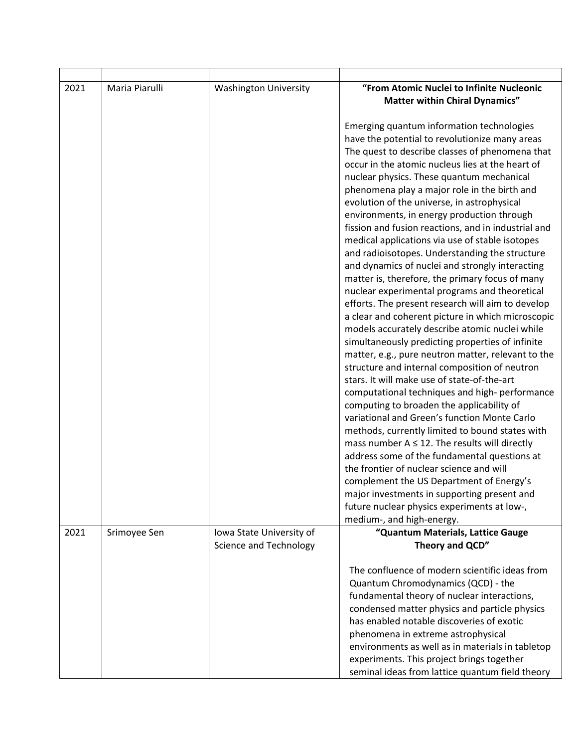| 2021 | Maria Piarulli | <b>Washington University</b>                       | "From Atomic Nuclei to Infinite Nucleonic                      |
|------|----------------|----------------------------------------------------|----------------------------------------------------------------|
|      |                |                                                    | <b>Matter within Chiral Dynamics"</b>                          |
|      |                |                                                    |                                                                |
|      |                |                                                    | Emerging quantum information technologies                      |
|      |                |                                                    | have the potential to revolutionize many areas                 |
|      |                |                                                    | The quest to describe classes of phenomena that                |
|      |                |                                                    | occur in the atomic nucleus lies at the heart of               |
|      |                |                                                    | nuclear physics. These quantum mechanical                      |
|      |                |                                                    | phenomena play a major role in the birth and                   |
|      |                |                                                    | evolution of the universe, in astrophysical                    |
|      |                |                                                    | environments, in energy production through                     |
|      |                |                                                    | fission and fusion reactions, and in industrial and            |
|      |                |                                                    | medical applications via use of stable isotopes                |
|      |                |                                                    | and radioisotopes. Understanding the structure                 |
|      |                |                                                    | and dynamics of nuclei and strongly interacting                |
|      |                |                                                    | matter is, therefore, the primary focus of many                |
|      |                |                                                    | nuclear experimental programs and theoretical                  |
|      |                |                                                    | efforts. The present research will aim to develop              |
|      |                |                                                    | a clear and coherent picture in which microscopic              |
|      |                |                                                    | models accurately describe atomic nuclei while                 |
|      |                |                                                    | simultaneously predicting properties of infinite               |
|      |                |                                                    | matter, e.g., pure neutron matter, relevant to the             |
|      |                |                                                    | structure and internal composition of neutron                  |
|      |                |                                                    | stars. It will make use of state-of-the-art                    |
|      |                |                                                    | computational techniques and high-performance                  |
|      |                |                                                    | computing to broaden the applicability of                      |
|      |                |                                                    | variational and Green's function Monte Carlo                   |
|      |                |                                                    | methods, currently limited to bound states with                |
|      |                |                                                    | mass number $A \leq 12$ . The results will directly            |
|      |                |                                                    | address some of the fundamental questions at                   |
|      |                |                                                    | the frontier of nuclear science and will                       |
|      |                |                                                    | complement the US Department of Energy's                       |
|      |                |                                                    | major investments in supporting present and                    |
|      |                |                                                    | future nuclear physics experiments at low-,                    |
| 2021 |                |                                                    | medium-, and high-energy.<br>"Quantum Materials, Lattice Gauge |
|      | Srimoyee Sen   | Iowa State University of<br>Science and Technology | Theory and QCD"                                                |
|      |                |                                                    |                                                                |
|      |                |                                                    | The confluence of modern scientific ideas from                 |
|      |                |                                                    | Quantum Chromodynamics (QCD) - the                             |
|      |                |                                                    | fundamental theory of nuclear interactions,                    |
|      |                |                                                    | condensed matter physics and particle physics                  |
|      |                |                                                    | has enabled notable discoveries of exotic                      |
|      |                |                                                    | phenomena in extreme astrophysical                             |
|      |                |                                                    | environments as well as in materials in tabletop               |
|      |                |                                                    | experiments. This project brings together                      |
|      |                |                                                    | seminal ideas from lattice quantum field theory                |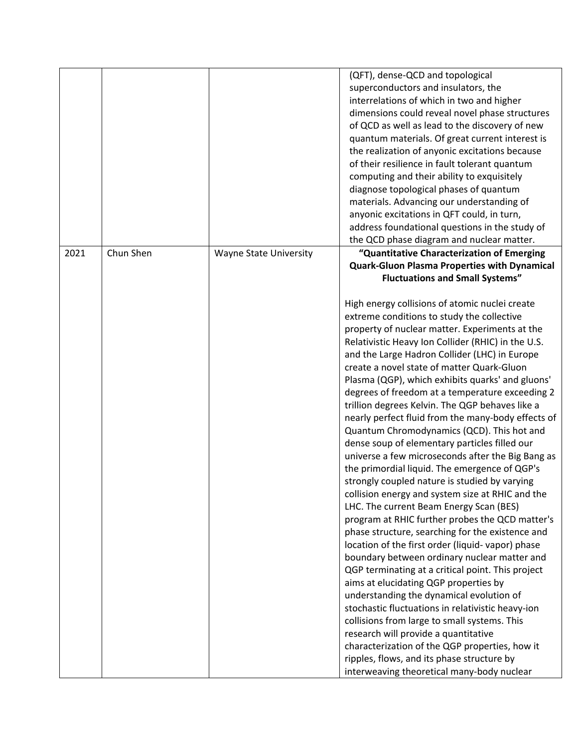|      |           |                        | (QFT), dense-QCD and topological                    |
|------|-----------|------------------------|-----------------------------------------------------|
|      |           |                        | superconductors and insulators, the                 |
|      |           |                        | interrelations of which in two and higher           |
|      |           |                        | dimensions could reveal novel phase structures      |
|      |           |                        | of QCD as well as lead to the discovery of new      |
|      |           |                        | quantum materials. Of great current interest is     |
|      |           |                        | the realization of anyonic excitations because      |
|      |           |                        | of their resilience in fault tolerant quantum       |
|      |           |                        | computing and their ability to exquisitely          |
|      |           |                        | diagnose topological phases of quantum              |
|      |           |                        | materials. Advancing our understanding of           |
|      |           |                        | anyonic excitations in QFT could, in turn,          |
|      |           |                        | address foundational questions in the study of      |
|      |           |                        | the QCD phase diagram and nuclear matter.           |
| 2021 | Chun Shen | Wayne State University | "Quantitative Characterization of Emerging          |
|      |           |                        | <b>Quark-Gluon Plasma Properties with Dynamical</b> |
|      |           |                        | <b>Fluctuations and Small Systems"</b>              |
|      |           |                        |                                                     |
|      |           |                        | High energy collisions of atomic nuclei create      |
|      |           |                        | extreme conditions to study the collective          |
|      |           |                        | property of nuclear matter. Experiments at the      |
|      |           |                        | Relativistic Heavy Ion Collider (RHIC) in the U.S.  |
|      |           |                        | and the Large Hadron Collider (LHC) in Europe       |
|      |           |                        | create a novel state of matter Quark-Gluon          |
|      |           |                        | Plasma (QGP), which exhibits quarks' and gluons'    |
|      |           |                        | degrees of freedom at a temperature exceeding 2     |
|      |           |                        | trillion degrees Kelvin. The QGP behaves like a     |
|      |           |                        | nearly perfect fluid from the many-body effects of  |
|      |           |                        | Quantum Chromodynamics (QCD). This hot and          |
|      |           |                        | dense soup of elementary particles filled our       |
|      |           |                        |                                                     |
|      |           |                        | universe a few microseconds after the Big Bang as   |
|      |           |                        | the primordial liquid. The emergence of QGP's       |
|      |           |                        | strongly coupled nature is studied by varying       |
|      |           |                        | collision energy and system size at RHIC and the    |
|      |           |                        | LHC. The current Beam Energy Scan (BES)             |
|      |           |                        | program at RHIC further probes the QCD matter's     |
|      |           |                        | phase structure, searching for the existence and    |
|      |           |                        | location of the first order (liquid-vapor) phase    |
|      |           |                        | boundary between ordinary nuclear matter and        |
|      |           |                        | QGP terminating at a critical point. This project   |
|      |           |                        | aims at elucidating QGP properties by               |
|      |           |                        | understanding the dynamical evolution of            |
|      |           |                        | stochastic fluctuations in relativistic heavy-ion   |
|      |           |                        | collisions from large to small systems. This        |
|      |           |                        | research will provide a quantitative                |
|      |           |                        | characterization of the QGP properties, how it      |
|      |           |                        | ripples, flows, and its phase structure by          |
|      |           |                        | interweaving theoretical many-body nuclear          |